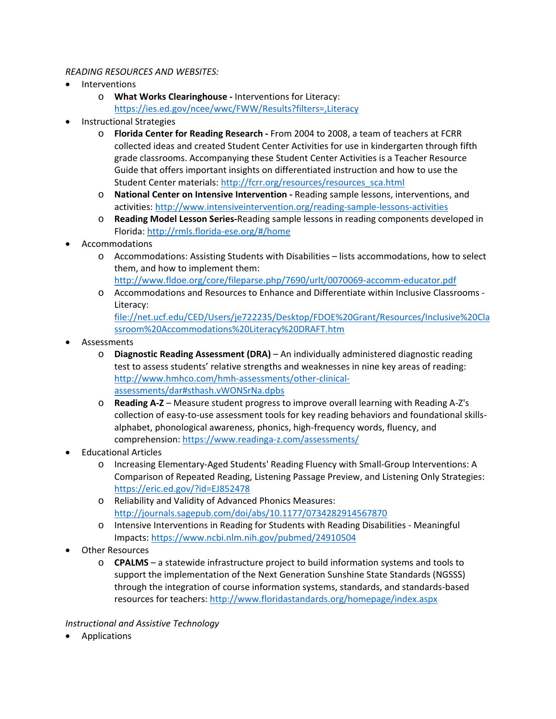## *READING RESOURCES AND WEBSITES:*

- **Interventions** 
	- o **What Works Clearinghouse -** Interventions for Literacy: <https://ies.ed.gov/ncee/wwc/FWW/Results?filters=,Literacy>
- Instructional Strategies
	- o **Florida Center for Reading Research -** From 2004 to 2008, a team of teachers at FCRR collected ideas and created Student Center Activities for use in kindergarten through fifth grade classrooms. Accompanying these Student Center Activities is a Teacher Resource Guide that offers important insights on differentiated instruction and how to use the Student Center materials: [http://fcrr.org/resources/resources\\_sca.html](http://fcrr.org/resources/resources_sca.html)
	- o **National Center on Intensive Intervention -** Reading sample lessons, interventions, and activities:<http://www.intensiveintervention.org/reading-sample-lessons-activities>
	- o **Reading Model Lesson Series-**Reading sample lessons in reading components developed in Florida:<http://rmls.florida-ese.org/#/home>
- **Accommodations** 
	- $\circ$  Accommodations: Assisting Students with Disabilities lists accommodations, how to select them, and how to implement them:
		- <http://www.fldoe.org/core/fileparse.php/7690/urlt/0070069-accomm-educator.pdf>
	- o Accommodations and Resources to Enhance and Differentiate within Inclusive Classrooms Literacy:

```
file://net.ucf.edu/CED/Users/je722235/Desktop/FDOE%20Grant/Resources/Inclusive%20Cla
ssroom%20Accommodations%20Literacy%20DRAFT.htm
```
- Assessments
	- o **Diagnostic Reading Assessment (DRA)** An individually administered diagnostic reading test to assess students' relative strengths and weaknesses in nine key areas of reading: [http://www.hmhco.com/hmh-assessments/other-clinical](http://www.hmhco.com/hmh-assessments/other-clinical-assessments/dar#sthash.vWONSrNa.dpbs)[assessments/dar#sthash.vWONSrNa.dpbs](http://www.hmhco.com/hmh-assessments/other-clinical-assessments/dar#sthash.vWONSrNa.dpbs)
	- o **Reading A-Z** Measure student progress to improve overall learning with Reading A-Z's collection of easy-to-use assessment tools for key reading behaviors and foundational skillsalphabet, phonological awareness, phonics, high-frequency words, fluency, and comprehension:<https://www.readinga-z.com/assessments/>
- Educational Articles
	- o Increasing Elementary-Aged Students' Reading Fluency with Small-Group Interventions: A Comparison of Repeated Reading, Listening Passage Preview, and Listening Only Strategies: <https://eric.ed.gov/?id=EJ852478>
	- o Reliability and Validity of Advanced Phonics Measures: <http://journals.sagepub.com/doi/abs/10.1177/0734282914567870>
	- o Intensive Interventions in Reading for Students with Reading Disabilities Meaningful Impacts[: https://www.ncbi.nlm.nih.gov/pubmed/24910504](https://www.ncbi.nlm.nih.gov/pubmed/24910504)
- Other Resources
	- o **CPALMS** a statewide infrastructure project to build information systems and tools to support the implementation of the Next Generation Sunshine State Standards (NGSSS) through the integration of course information systems, standards, and standards-based resources for teachers:<http://www.floridastandards.org/homepage/index.aspx>

## *Instructional and Assistive Technology*

**Applications**